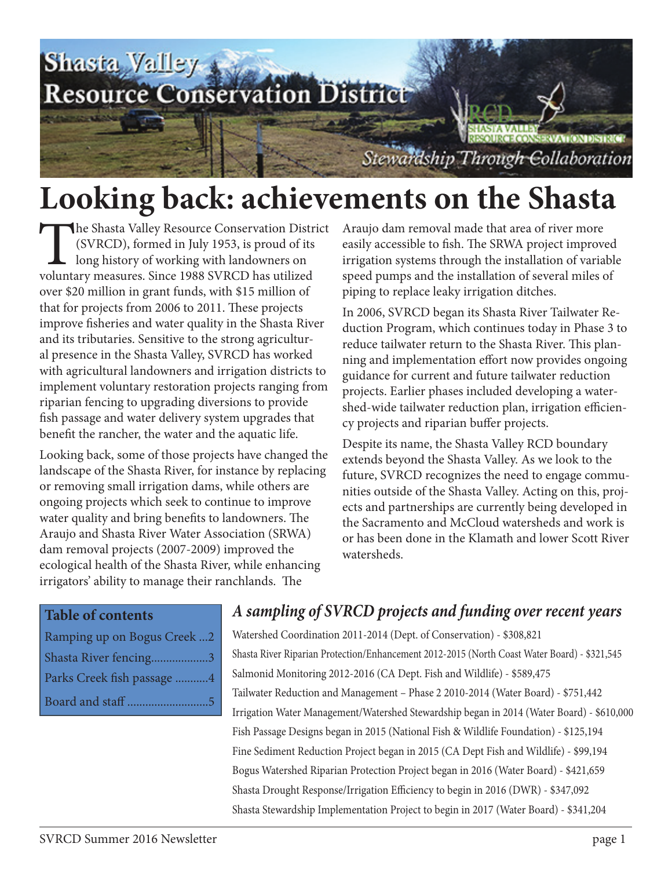

### **Looking back: achievements on the Shasta**

The Shasta Valley Resource Conservation District (SVRCD), formed in July 1953, is proud of its long history of working with landowners on voluntary measures. Since 1988 SVRCD has utilized over \$20 million in grant funds, with \$15 million of that for projects from 2006 to 2011. These projects improve fisheries and water quality in the Shasta River and its tributaries. Sensitive to the strong agricultural presence in the Shasta Valley, SVRCD has worked with agricultural landowners and irrigation districts to implement voluntary restoration projects ranging from riparian fencing to upgrading diversions to provide fish passage and water delivery system upgrades that benefit the rancher, the water and the aquatic life.

Looking back, some of those projects have changed the landscape of the Shasta River, for instance by replacing or removing small irrigation dams, while others are ongoing projects which seek to continue to improve water quality and bring benefits to landowners. The Araujo and Shasta River Water Association (SRWA) dam removal projects (2007-2009) improved the ecological health of the Shasta River, while enhancing irrigators' ability to manage their ranchlands. The

Araujo dam removal made that area of river more easily accessible to fish. The SRWA project improved irrigation systems through the installation of variable speed pumps and the installation of several miles of piping to replace leaky irrigation ditches.

In 2006, SVRCD began its Shasta River Tailwater Reduction Program, which continues today in Phase 3 to reduce tailwater return to the Shasta River. This planning and implementation effort now provides ongoing guidance for current and future tailwater reduction projects. Earlier phases included developing a watershed-wide tailwater reduction plan, irrigation efficiency projects and riparian buffer projects.

Despite its name, the Shasta Valley RCD boundary extends beyond the Shasta Valley. As we look to the future, SVRCD recognizes the need to engage communities outside of the Shasta Valley. Acting on this, projects and partnerships are currently being developed in the Sacramento and McCloud watersheds and work is or has been done in the Klamath and lower Scott River watersheds.

| Ramping up on Bogus Creek2 |  |
|----------------------------|--|
| Shasta River fencing3      |  |
| Parks Creek fish passage 4 |  |
| Board and staff 5          |  |

#### **Table of contents** *A sampling of SVRCD projects and funding over recent years*

Watershed Coordination 2011-2014 (Dept. of Conservation) - \$308,821 Shasta River Riparian Protection/Enhancement 2012-2015 (North Coast Water Board) - \$321,545 Salmonid Monitoring 2012-2016 (CA Dept. Fish and Wildlife) - \$589,475 Tailwater Reduction and Management – Phase 2 2010-2014 (Water Board) - \$751,442 Irrigation Water Management/Watershed Stewardship began in 2014 (Water Board) - \$610,000 Fish Passage Designs began in 2015 (National Fish & Wildlife Foundation) - \$125,194 Fine Sediment Reduction Project began in 2015 (CA Dept Fish and Wildlife) - \$99,194 Bogus Watershed Riparian Protection Project began in 2016 (Water Board) - \$421,659 Shasta Drought Response/Irrigation Efficiency to begin in 2016 (DWR) - \$347,092 Shasta Stewardship Implementation Project to begin in 2017 (Water Board) - \$341,204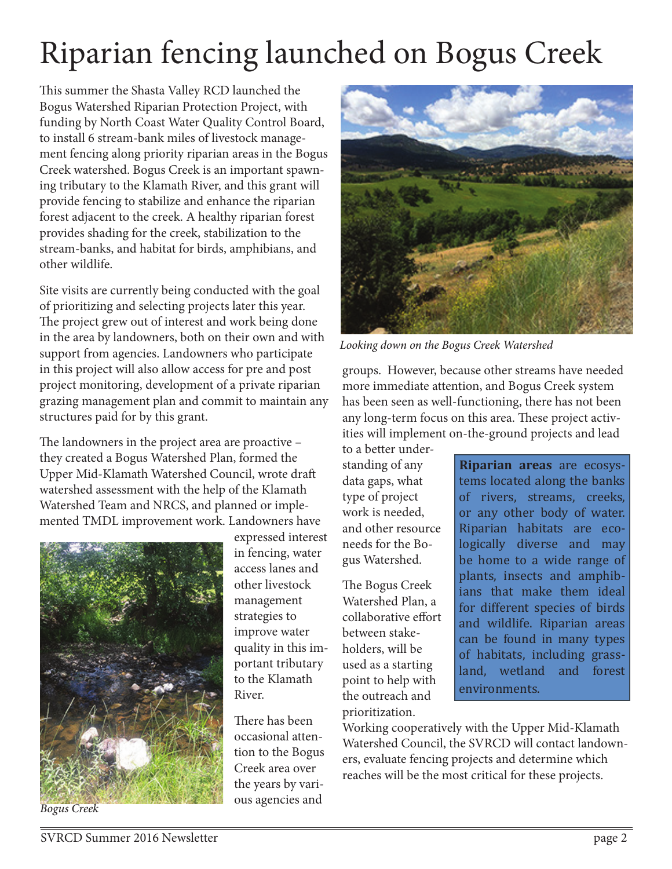## Riparian fencing launched on Bogus Creek

This summer the Shasta Valley RCD launched the Bogus Watershed Riparian Protection Project, with funding by North Coast Water Quality Control Board, to install 6 stream-bank miles of livestock management fencing along priority riparian areas in the Bogus Creek watershed. Bogus Creek is an important spawning tributary to the Klamath River, and this grant will provide fencing to stabilize and enhance the riparian forest adjacent to the creek. A healthy riparian forest provides shading for the creek, stabilization to the stream-banks, and habitat for birds, amphibians, and other wildlife.

Site visits are currently being conducted with the goal of prioritizing and selecting projects later this year. The project grew out of interest and work being done in the area by landowners, both on their own and with support from agencies. Landowners who participate in this project will also allow access for pre and post project monitoring, development of a private riparian grazing management plan and commit to maintain any structures paid for by this grant.

The landowners in the project area are proactive – they created a Bogus Watershed Plan, formed the Upper Mid-Klamath Watershed Council, wrote draft watershed assessment with the help of the Klamath Watershed Team and NRCS, and planned or implemented TMDL improvement work. Landowners have



expressed interest in fencing, water access lanes and other livestock management strategies to improve water quality in this important tributary to the Klamath River.

There has been occasional attention to the Bogus Creek area over the years by various agencies and



*Looking down on the Bogus Creek Watershed*

groups. However, because other streams have needed more immediate attention, and Bogus Creek system has been seen as well-functioning, there has not been any long-term focus on this area. These project activities will implement on-the-ground projects and lead

to a better understanding of any data gaps, what type of project work is needed, and other resource needs for the Bogus Watershed.

The Bogus Creek Watershed Plan, a collaborative effort between stakeholders, will be used as a starting point to help with the outreach and prioritization.

**Riparian areas** are ecosystems located along the banks of rivers, streams, creeks, or any other body of water. Riparian habitats are ecologically diverse and may be home to a wide range of plants, insects and amphibians that make them ideal for different species of birds and wildlife. Riparian areas can be found in many types of habitats, including grassland, wetland and forest environments.

Working cooperatively with the Upper Mid-Klamath Watershed Council, the SVRCD will contact landowners, evaluate fencing projects and determine which reaches will be the most critical for these projects.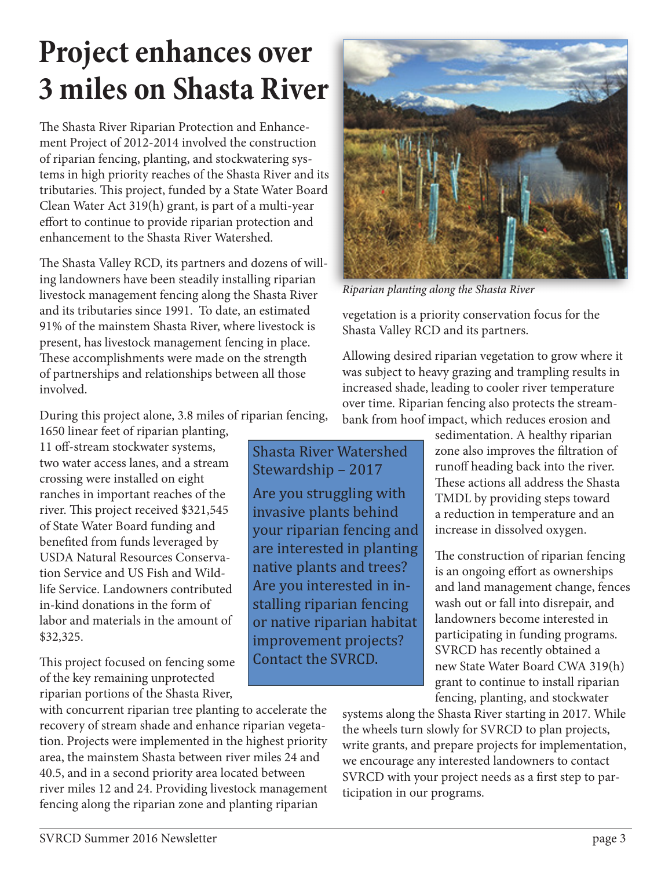### **Project enhances over 3 miles on Shasta River**

The Shasta River Riparian Protection and Enhancement Project of 2012-2014 involved the construction of riparian fencing, planting, and stockwatering systems in high priority reaches of the Shasta River and its tributaries. This project, funded by a State Water Board Clean Water Act 319(h) grant, is part of a multi-year effort to continue to provide riparian protection and enhancement to the Shasta River Watershed.

The Shasta Valley RCD, its partners and dozens of willing landowners have been steadily installing riparian livestock management fencing along the Shasta River and its tributaries since 1991. To date, an estimated 91% of the mainstem Shasta River, where livestock is present, has livestock management fencing in place. These accomplishments were made on the strength of partnerships and relationships between all those involved.

During this project alone, 3.8 miles of riparian fencing,

1650 linear feet of riparian planting, 11 off-stream stockwater systems, crossing were installed on eight ranches in important reaches of the river. This project received \$321,545 of State Water Board funding and benefited from funds leveraged by USDA Natural Resources Conservation Service and US Fish and Wildlife Service. Landowners contributed in-kind donations in the form of labor and materials in the amount of \$32,325.

This project focused on fencing some of the key remaining unprotected riparian portions of the Shasta River,

with concurrent riparian tree planting to accelerate the recovery of stream shade and enhance riparian vegetation. Projects were implemented in the highest priority area, the mainstem Shasta between river miles 24 and 40.5, and in a second priority area located between river miles 12 and 24. Providing livestock management fencing along the riparian zone and planting riparian



*Riparian planting along the Shasta River*

Are you struggling with invasive plants behind your riparian fencing and are interested in planting native plants and trees? Are you interested in installing riparian fencing or native riparian habitat improvement projects? Contact the SVRCD.

vegetation is a priority conservation focus for the Shasta Valley RCD and its partners.

Allowing desired riparian vegetation to grow where it was subject to heavy grazing and trampling results in increased shade, leading to cooler river temperature over time. Riparian fencing also protects the streambank from hoof impact, which reduces erosion and

sedimentation. A healthy riparian zone also improves the filtration of runoff heading back into the river. These actions all address the Shasta TMDL by providing steps toward a reduction in temperature and an increase in dissolved oxygen.

The construction of riparian fencing is an ongoing effort as ownerships and land management change, fences wash out or fall into disrepair, and landowners become interested in participating in funding programs. SVRCD has recently obtained a new State Water Board CWA 319(h) grant to continue to install riparian fencing, planting, and stockwater

systems along the Shasta River starting in 2017. While the wheels turn slowly for SVRCD to plan projects, write grants, and prepare projects for implementation, we encourage any interested landowners to contact SVRCD with your project needs as a first step to participation in our programs.

two water access lanes, and a stream Shasta River Watershed Stewardship – 2017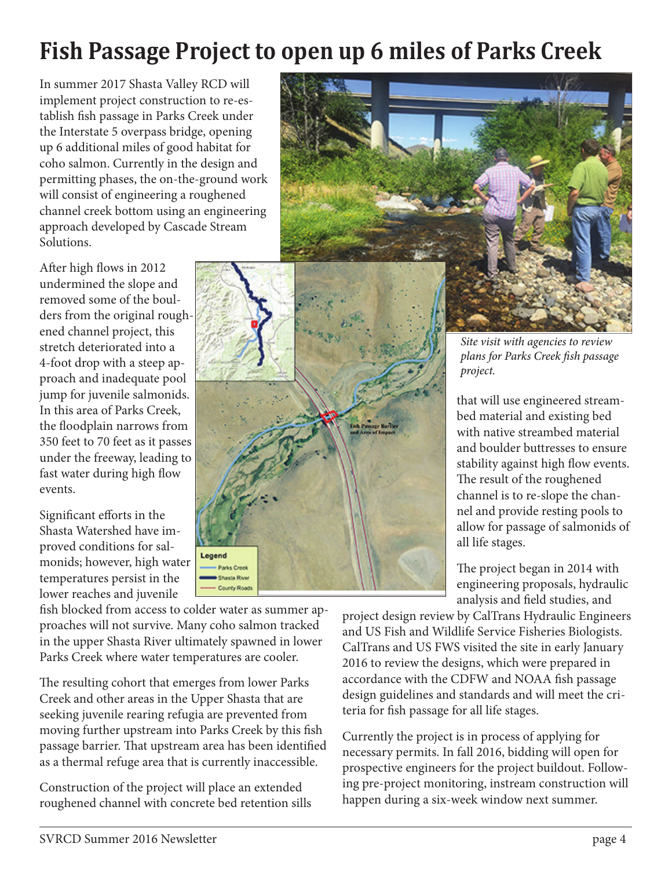### **Fish Passage Project to open up 6 miles of Parks Creek**

In summer 2017 Shasta Valley RCD will implement project construction to re-establish fish passage in Parks Creek under the Interstate 5 overpass bridge, opening up 6 additional miles of good habitat for coho salmon. Currently in the design and permitting phases, the on-the-ground work will consist of engineering a roughened channel creek bottom using an engineering approach developed by Cascade Stream Solutions.

After high flows in 2012 undermined the slope and removed some of the boulders from the original roughened channel project, this stretch deteriorated into a 4-foot drop with a steep approach and inadequate pool jump for juvenile salmonids. In this area of Parks Creek, the floodplain narrows from 350 feet to 70 feet as it passes under the freeway, leading to fast water during high flow events.

Significant efforts in the Shasta Watershed have improved conditions for salmonids; however, high water temperatures persist in the lower reaches and juvenile



fish blocked from access to colder water as summer approaches will not survive. Many coho salmon tracked in the upper Shasta River ultimately spawned in lower Parks Creek where water temperatures are cooler.

The resulting cohort that emerges from lower Parks Creek and other areas in the Upper Shasta that are seeking juvenile rearing refugia are prevented from moving further upstream into Parks Creek by this fish passage barrier. That upstream area has been identified as a thermal refuge area that is currently inaccessible.

Construction of the project will place an extended roughened channel with concrete bed retention sills



*Site visit with agencies to review plans for Parks Creek fi sh passage project.* 

that will use engineered streambed material and existing bed with native streambed material and boulder buttresses to ensure stability against high flow events. The result of the roughened channel is to re-slope the channel and provide resting pools to allow for passage of salmonids of all life stages.

The project began in 2014 with engineering proposals, hydraulic analysis and field studies, and

project design review by CalTrans Hydraulic Engineers and US Fish and Wildlife Service Fisheries Biologists. CalTrans and US FWS visited the site in early January 2016 to review the designs, which were prepared in accordance with the CDFW and NOAA fish passage design guidelines and standards and will meet the criteria for fish passage for all life stages.

Currently the project is in process of applying for necessary permits. In fall 2016, bidding will open for prospective engineers for the project buildout. Following pre-project monitoring, instream construction will happen during a six-week window next summer.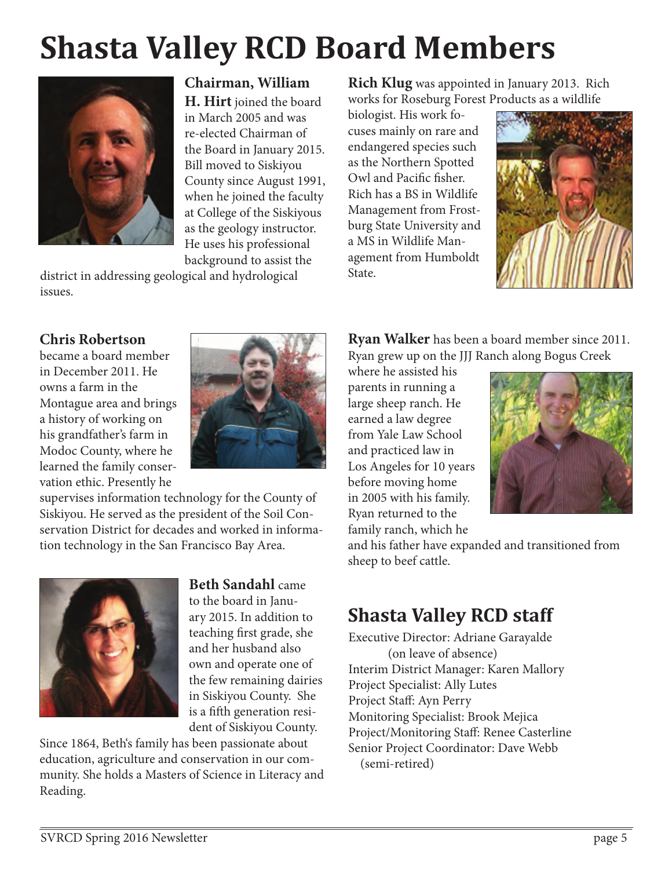# **Shasta Valley RCD Board Members**



#### **Chairman, William**

**H. Hirt** joined the board in March 2005 and was re-elected Chairman of the Board in January 2015. Bill moved to Siskiyou County since August 1991, when he joined the faculty at College of the Siskiyous as the geology instructor. He uses his professional background to assist the

district in addressing geological and hydrological issues.

#### **Rich Klug** was appointed in January 2013. Rich works for Roseburg Forest Products as a wildlife

biologist. His work focuses mainly on rare and endangered species such as the Northern Spotted Owl and Pacific fisher. Rich has a BS in Wildlife Management from Frostburg State University and a MS in Wildlife Management from Humboldt State.



#### **Chris Robertson**

became a board member in December 2011. He owns a farm in the Montague area and brings a history of working on his grandfather's farm in Modoc County, where he learned the family conservation ethic. Presently he



supervises information technology for the County of Siskiyou. He served as the president of the Soil Conservation District for decades and worked in information technology in the San Francisco Bay Area.



**Beth Sandahl** came to the board in January 2015. In addition to teaching first grade, she and her husband also own and operate one of the few remaining dairies in Siskiyou County. She is a fifth generation resi-

dent of Siskiyou County.

Since 1864, Beth's family has been passionate about education, agriculture and conservation in our community. She holds a Masters of Science in Literacy and Reading.

**Ryan Walker** has been a board member since 2011. Ryan grew up on the JJJ Ranch along Bogus Creek

where he assisted his parents in running a large sheep ranch. He earned a law degree from Yale Law School and practiced law in Los Angeles for 10 years before moving home in 2005 with his family. Ryan returned to the family ranch, which he



and his father have expanded and transitioned from sheep to beef cattle.

### **Shasta Valley RCD staff**

Executive Director: Adriane Garayalde (on leave of absence) Interim District Manager: Karen Mallory Project Specialist: Ally Lutes Project Staff: Ayn Perry Monitoring Specialist: Brook Mejica Project/Monitoring Staff: Renee Casterline Senior Project Coordinator: Dave Webb (semi-retired)